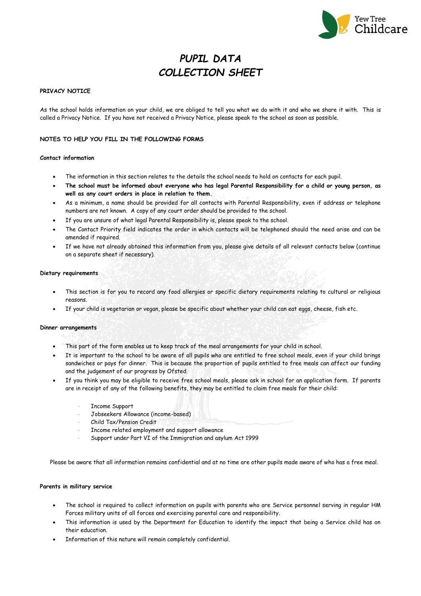

# *PUPIL DATA COLLECTION SHEET*

### **PRIVACY NOTICE**

As the school holds information on your child, we are obliged to tell you what we do with it and who we share it with. This is called a Privacy Notice. If you have not received a Privacy Notice, please speak to the school as soon as possible.

### **NOTES TO HELP YOU FILL IN THE FOLLOWING FORMS**

#### **Contact information**

- The information in this section relates to the details the school needs to hold on contacts for each pupil.
- **The school must be informed about everyone who has legal Parental Responsibility for a child or young person, as well as any court orders in place in relation to them.**
- As a minimum, a name should be provided for all contacts with Parental Responsibility, even if address or telephone numbers are not known. A copy of any court order should be provided to the school.
- If you are unsure of what legal Parental Responsibility is, please speak to the school.
- The Contact Priority field indicates the order in which contacts will be telephoned should the need arise and can be amended if required.
- If we have not already obtained this information from you, please give details of all relevant contacts below (continue on a separate sheet if necessary).

#### **Dietary requirements**

- This section is for you to record any food allergies or specific dietary requirements relating to cultural or religious reasons.
- If your child is vegetarian or vegan, please be specific about whether your child can eat eggs, cheese, fish etc.

#### **Dinner arrangements**

- This part of the form enables us to keep track of the meal arrangements for your child in school.
- It is important to the school to be aware of all pupils who are entitled to free school meals, even if your child brings sandwiches or pays for dinner. This is because the proportion of pupils entitled to free meals can affect our funding and the judgement of our progress by Ofsted.
- If you think you may be eligible to receive free school meals, please ask in school for an application form. If parents are in receipt of any of the following benefits, they may be entitled to claim free meals for their child:
	- Income Support
	- Jobseekers Allowance (income-based)
	- Child Tax/Pension Credit
	- Income related employment and support allowance
	- Support under Part VI of the Immigration and asylum Act 1999

Please be aware that all information remains confidential and at no time are other pupils made aware of who has a free meal.

#### **Parents in military service**

- The school is required to collect information on pupils with parents who are Service personnel serving in regular HM Forces military units of all forces and exercising parental care and responsibility.
- This information is used by the Department for Education to identify the impact that being a Service child has on their education.
- Information of this nature will remain completely confidential.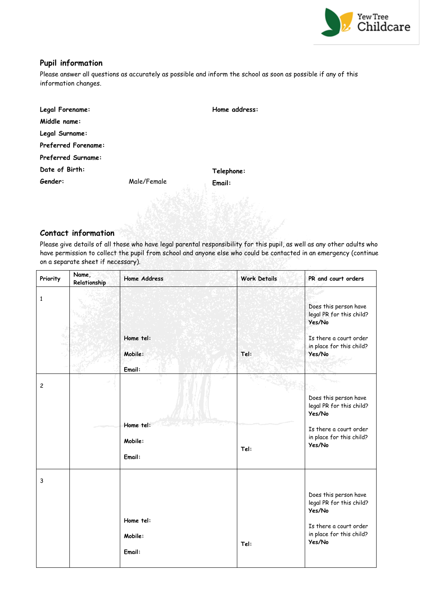

### **Pupil information**

Please answer all questions as accurately as possible and inform the school as soon as possible if any of this information changes.

| Legal Forename:            |             | Home address: |
|----------------------------|-------------|---------------|
| Middle name:               |             |               |
| Legal Surname:             |             |               |
| <b>Preferred Forename:</b> |             |               |
| <b>Preferred Surname:</b>  |             |               |
| Date of Birth:             |             | Telephone:    |
| Gender:                    | Male/Female | Email:        |

### **Contact information**

Please give details of all those who have legal parental responsibility for this pupil, as well as any other adults who have permission to collect the pupil from school and anyone else who could be contacted in an emergency (continue on a separate sheet if necessary).

| Priority       | Name,<br>Relationship | <b>Home Address</b>            | <b>Work Details</b> | PR and court orders                                                                                                         |
|----------------|-----------------------|--------------------------------|---------------------|-----------------------------------------------------------------------------------------------------------------------------|
| $\mathbf{1}$   |                       | Home tel:<br>Mobile:<br>Email: | Tel:                | Does this person have<br>legal PR for this child?<br>Yes/No<br>Is there a court order<br>in place for this child?<br>Yes/No |
| $\overline{c}$ |                       | Home tel:<br>Mobile:<br>Email: | Tel:                | Does this person have<br>legal PR for this child?<br>Yes/No<br>Is there a court order<br>in place for this child?<br>Yes/No |
| 3              |                       | Home tel:<br>Mobile:<br>Email: | Tel:                | Does this person have<br>legal PR for this child?<br>Yes/No<br>Is there a court order<br>in place for this child?<br>Yes/No |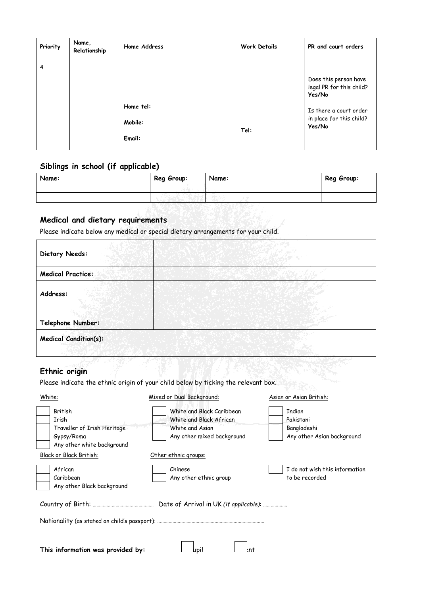| Priority | Name,<br>Relationship | Home Address                   | <b>Work Details</b> | PR and court orders                                          |
|----------|-----------------------|--------------------------------|---------------------|--------------------------------------------------------------|
| 4        |                       |                                |                     | Does this person have<br>legal PR for this child?<br>Yes/No  |
|          |                       | Home tel:<br>Mobile:<br>Email: | Tel:                | Is there a court order<br>in place for this child?<br>Yes/No |

# **Siblings in school (if applicable)**

| Name: | Reg Group: | Name: | Reg Group: |
|-------|------------|-------|------------|
|       |            |       |            |
|       |            |       |            |

# **Medical and dietary requirements**

Please indicate below any medical or special dietary arrangements for your child.

| Dietary Needs:               |  |
|------------------------------|--|
| <b>Medical Practice:</b>     |  |
| Address:                     |  |
| Telephone Number:            |  |
| <b>Medical Condition(s):</b> |  |

# **Ethnic origin**

Please indicate the ethnic origin of your child below by ticking the relevant box.

| White:                                                                                      | Mixed or Dual Background:                                                                             | Asian or Asian British:                                                 |  |
|---------------------------------------------------------------------------------------------|-------------------------------------------------------------------------------------------------------|-------------------------------------------------------------------------|--|
| British<br>Irish<br>Traveller of Irish Heritage<br>Gypsy/Roma<br>Any other white background | White and Black Caribbean<br>White and Black African<br>White and Asian<br>Any other mixed background | <b>Indian</b><br>Pakistani<br>Bangladeshi<br>Any other Asian background |  |
| Black or Black British:                                                                     | Other ethnic groups:                                                                                  |                                                                         |  |
| African<br>Caribbean<br>Any other Black background                                          | Chinese<br>Any other ethnic group                                                                     | I do not wish this information<br>to be recorded                        |  |
|                                                                                             | Date of Arrival in UK (if applicable):                                                                |                                                                         |  |
|                                                                                             |                                                                                                       |                                                                         |  |
| This information was provided by:                                                           | lupil<br>:nt                                                                                          |                                                                         |  |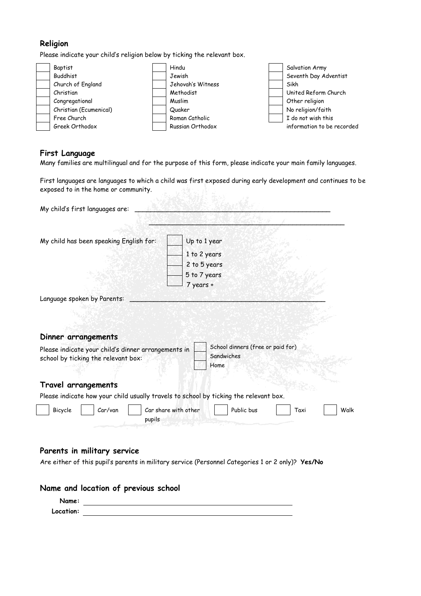# **Religion**

Please indicate your child's religion below by ticking the relevant box.



## **First Language**

 $\begin{bmatrix} \phantom{-} \end{bmatrix}$ 

Many families are multilingual and for the purpose of this form, please indicate your main family languages.

First languages are languages to which a child was first exposed during early development and continues to be exposed to in the home or community.

| My child's first languages are:                                                                   |                                    |                                   |      |
|---------------------------------------------------------------------------------------------------|------------------------------------|-----------------------------------|------|
|                                                                                                   |                                    |                                   |      |
| My child has been speaking English for:                                                           | Up to 1 year                       |                                   |      |
|                                                                                                   | 1 to 2 years                       |                                   |      |
|                                                                                                   | 2 to 5 years                       |                                   |      |
|                                                                                                   | 5 to 7 years                       |                                   |      |
|                                                                                                   | 7 years +                          |                                   |      |
| Language spoken by Parents:                                                                       |                                    |                                   |      |
|                                                                                                   |                                    |                                   |      |
|                                                                                                   |                                    |                                   |      |
| Dinner arrangements                                                                               |                                    |                                   |      |
| Please indicate your child's dinner arrangements in                                               |                                    | School dinners (free or paid for) |      |
| school by ticking the relevant box:                                                               | Sandwiches                         |                                   |      |
|                                                                                                   | Home                               |                                   |      |
| Travel arrangements                                                                               |                                    |                                   |      |
| Please indicate how your child usually travels to school by ticking the relevant box.             |                                    |                                   |      |
| Bicycle<br>Car/van                                                                                | Public bus<br>Car share with other | Taxi                              | Walk |
| pupils                                                                                            |                                    |                                   |      |
|                                                                                                   |                                    |                                   |      |
|                                                                                                   |                                    |                                   |      |
| Parents in military service                                                                       |                                    |                                   |      |
| Are either of this pupil's parents in military service (Personnel Categories 1 or 2 only)? Yes/No |                                    |                                   |      |
|                                                                                                   |                                    |                                   |      |

### **Name and location of previous school**

| Name:     |  |
|-----------|--|
| Location: |  |